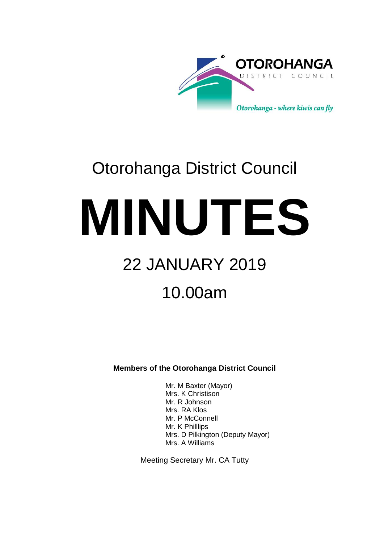

# Otorohanga District Council

**MINUTES**

# 22 JANUARY 2019

# 10.00am

**Members of the Otorohanga District Council**

Mr. M Baxter (Mayor) Mrs. K Christison Mr. R Johnson Mrs. RA Klos Mr. P McConnell Mr. K Philllips Mrs. D Pilkington (Deputy Mayor) Mrs. A Williams

Meeting Secretary Mr. CA Tutty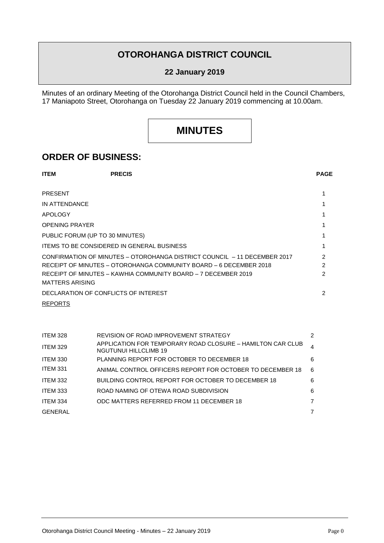## **OTOROHANGA DISTRICT COUNCIL**

#### **22 January 2019**

Minutes of an ordinary Meeting of the Otorohanga District Council held in the Council Chambers, 17 Maniapoto Street, Otorohanga on Tuesday 22 January 2019 commencing at 10.00am.

## **MINUTES**

### **ORDER OF BUSINESS:**

| <b>ITEM</b>                                       | <b>PRECIS</b>                                                            | <b>PAGE</b> |
|---------------------------------------------------|--------------------------------------------------------------------------|-------------|
| <b>PRESENT</b>                                    |                                                                          |             |
| IN ATTENDANCE                                     |                                                                          |             |
| <b>APOLOGY</b>                                    |                                                                          |             |
| <b>OPENING PRAYER</b>                             |                                                                          |             |
| PUBLIC FORUM (UP TO 30 MINUTES)                   |                                                                          |             |
| <b>ITEMS TO BE CONSIDERED IN GENERAL BUSINESS</b> |                                                                          |             |
|                                                   | CONFIRMATION OF MINUTES – OTOROHANGA DISTRICT COUNCIL – 11 DECEMBER 2017 | 2           |
|                                                   | RECEIPT OF MINUTES - OTOROHANGA COMMUNITY BOARD - 6 DECEMBER 2018        | 2           |
| <b>MATTERS ARISING</b>                            | RECEIPT OF MINUTES – KAWHIA COMMUNITY BOARD – 7 DECEMBER 2019            | 2           |
|                                                   | DECLARATION OF CONFLICTS OF INTEREST                                     | 2           |
| <b>REPORTS</b>                                    |                                                                          |             |

| ITEM 328        | REVISION OF ROAD IMPROVEMENT STRATEGY                                               | 2 |
|-----------------|-------------------------------------------------------------------------------------|---|
| <b>ITEM 329</b> | APPLICATION FOR TEMPORARY ROAD CLOSURE - HAMILTON CAR CLUB<br>NGUTUNUI HILLCLIMB 19 | 4 |
| <b>ITEM 330</b> | PLANNING REPORT FOR OCTOBER TO DECEMBER 18                                          | 6 |
| ITEM 331        | ANIMAL CONTROL OFFICERS REPORT FOR OCTOBER TO DECEMBER 18                           | 6 |
| <b>ITEM 332</b> | BUILDING CONTROL REPORT FOR OCTOBER TO DECEMBER 18                                  | 6 |
| <b>ITEM 333</b> | ROAD NAMING OF OTEWA ROAD SUBDIVISION                                               | 6 |
| <b>ITEM 334</b> | ODC MATTERS REFERRED FROM 11 DECEMBER 18                                            | 7 |
| <b>GENERAL</b>  |                                                                                     |   |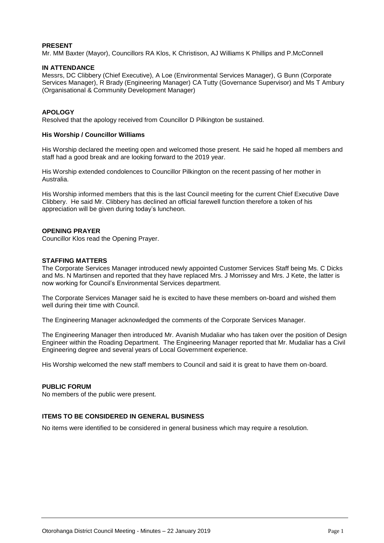#### **PRESENT**

Mr. MM Baxter (Mayor), Councillors RA Klos, K Christison, AJ Williams K Phillips and P.McConnell

#### **IN ATTENDANCE**

Messrs, DC Clibbery (Chief Executive), A Loe (Environmental Services Manager), G Bunn (Corporate Services Manager), R Brady (Engineering Manager) CA Tutty (Governance Supervisor) and Ms T Ambury (Organisational & Community Development Manager)

#### **APOLOGY**

Resolved that the apology received from Councillor D Pilkington be sustained.

#### **His Worship / Councillor Williams**

His Worship declared the meeting open and welcomed those present. He said he hoped all members and staff had a good break and are looking forward to the 2019 year.

His Worship extended condolences to Councillor Pilkington on the recent passing of her mother in Australia.

His Worship informed members that this is the last Council meeting for the current Chief Executive Dave Clibbery. He said Mr. Clibbery has declined an official farewell function therefore a token of his appreciation will be given during today's luncheon.

#### **OPENING PRAYER**

Councillor Klos read the Opening Prayer.

#### **STAFFING MATTERS**

The Corporate Services Manager introduced newly appointed Customer Services Staff being Ms. C Dicks and Ms. N Martinsen and reported that they have replaced Mrs. J Morrissey and Mrs. J Kete, the latter is now working for Council's Environmental Services department.

The Corporate Services Manager said he is excited to have these members on-board and wished them well during their time with Council.

The Engineering Manager acknowledged the comments of the Corporate Services Manager.

The Engineering Manager then introduced Mr. Avanish Mudaliar who has taken over the position of Design Engineer within the Roading Department. The Engineering Manager reported that Mr. Mudaliar has a Civil Engineering degree and several years of Local Government experience.

His Worship welcomed the new staff members to Council and said it is great to have them on-board.

#### **PUBLIC FORUM**

No members of the public were present.

#### **ITEMS TO BE CONSIDERED IN GENERAL BUSINESS**

No items were identified to be considered in general business which may require a resolution.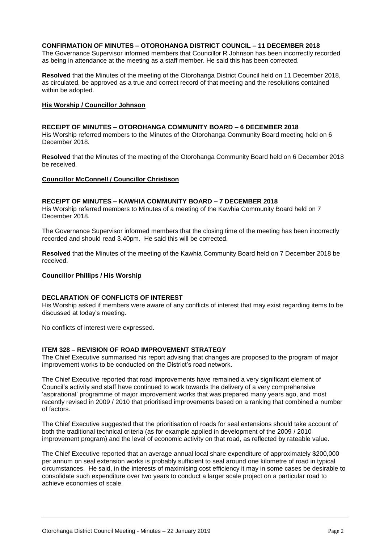#### **CONFIRMATION OF MINUTES – OTOROHANGA DISTRICT COUNCIL – 11 DECEMBER 2018**

The Governance Supervisor informed members that Councillor R Johnson has been incorrectly recorded as being in attendance at the meeting as a staff member. He said this has been corrected.

**Resolved** that the Minutes of the meeting of the Otorohanga District Council held on 11 December 2018, as circulated, be approved as a true and correct record of that meeting and the resolutions contained within be adopted.

#### **His Worship / Councillor Johnson**

#### **RECEIPT OF MINUTES – OTOROHANGA COMMUNITY BOARD – 6 DECEMBER 2018**

His Worship referred members to the Minutes of the Otorohanga Community Board meeting held on 6 December 2018.

**Resolved** that the Minutes of the meeting of the Otorohanga Community Board held on 6 December 2018 be received.

#### **Councillor McConnell / Councillor Christison**

#### **RECEIPT OF MINUTES – KAWHIA COMMUNITY BOARD – 7 DECEMBER 2018**

His Worship referred members to Minutes of a meeting of the Kawhia Community Board held on 7 December 2018.

The Governance Supervisor informed members that the closing time of the meeting has been incorrectly recorded and should read 3.40pm. He said this will be corrected.

**Resolved** that the Minutes of the meeting of the Kawhia Community Board held on 7 December 2018 be received.

#### **Councillor Phillips / His Worship**

#### **DECLARATION OF CONFLICTS OF INTEREST**

His Worship asked if members were aware of any conflicts of interest that may exist regarding items to be discussed at today's meeting.

No conflicts of interest were expressed.

#### **ITEM 328 – REVISION OF ROAD IMPROVEMENT STRATEGY**

The Chief Executive summarised his report advising that changes are proposed to the program of major improvement works to be conducted on the District's road network.

The Chief Executive reported that road improvements have remained a very significant element of Council's activity and staff have continued to work towards the delivery of a very comprehensive 'aspirational' programme of major improvement works that was prepared many years ago, and most recently revised in 2009 / 2010 that prioritised improvements based on a ranking that combined a number of factors.

The Chief Executive suggested that the prioritisation of roads for seal extensions should take account of both the traditional technical criteria (as for example applied in development of the 2009 / 2010 improvement program) and the level of economic activity on that road, as reflected by rateable value.

The Chief Executive reported that an average annual local share expenditure of approximately \$200,000 per annum on seal extension works is probably sufficient to seal around one kilometre of road in typical circumstances. He said, in the interests of maximising cost efficiency it may in some cases be desirable to consolidate such expenditure over two years to conduct a larger scale project on a particular road to achieve economies of scale.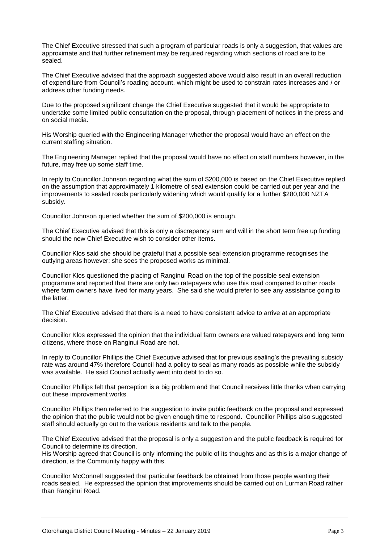The Chief Executive stressed that such a program of particular roads is only a suggestion, that values are approximate and that further refinement may be required regarding which sections of road are to be sealed.

The Chief Executive advised that the approach suggested above would also result in an overall reduction of expenditure from Council's roading account, which might be used to constrain rates increases and / or address other funding needs.

Due to the proposed significant change the Chief Executive suggested that it would be appropriate to undertake some limited public consultation on the proposal, through placement of notices in the press and on social media.

His Worship queried with the Engineering Manager whether the proposal would have an effect on the current staffing situation.

The Engineering Manager replied that the proposal would have no effect on staff numbers however, in the future, may free up some staff time.

In reply to Councillor Johnson regarding what the sum of \$200,000 is based on the Chief Executive replied on the assumption that approximately 1 kilometre of seal extension could be carried out per year and the improvements to sealed roads particularly widening which would qualify for a further \$280,000 NZTA subsidy.

Councillor Johnson queried whether the sum of \$200,000 is enough.

The Chief Executive advised that this is only a discrepancy sum and will in the short term free up funding should the new Chief Executive wish to consider other items.

Councillor Klos said she should be grateful that a possible seal extension programme recognises the outlying areas however; she sees the proposed works as minimal.

Councillor Klos questioned the placing of Ranginui Road on the top of the possible seal extension programme and reported that there are only two ratepayers who use this road compared to other roads where farm owners have lived for many years. She said she would prefer to see any assistance going to the latter.

The Chief Executive advised that there is a need to have consistent advice to arrive at an appropriate decision.

Councillor Klos expressed the opinion that the individual farm owners are valued ratepayers and long term citizens, where those on Ranginui Road are not.

In reply to Councillor Phillips the Chief Executive advised that for previous sealing's the prevailing subsidy rate was around 47% therefore Council had a policy to seal as many roads as possible while the subsidy was available. He said Council actually went into debt to do so.

Councillor Phillips felt that perception is a big problem and that Council receives little thanks when carrying out these improvement works.

Councillor Phillips then referred to the suggestion to invite public feedback on the proposal and expressed the opinion that the public would not be given enough time to respond. Councillor Phillips also suggested staff should actually go out to the various residents and talk to the people.

The Chief Executive advised that the proposal is only a suggestion and the public feedback is required for Council to determine its direction.

His Worship agreed that Council is only informing the public of its thoughts and as this is a major change of direction, is the Community happy with this.

Councillor McConnell suggested that particular feedback be obtained from those people wanting their roads sealed. He expressed the opinion that improvements should be carried out on Lurman Road rather than Ranginui Road.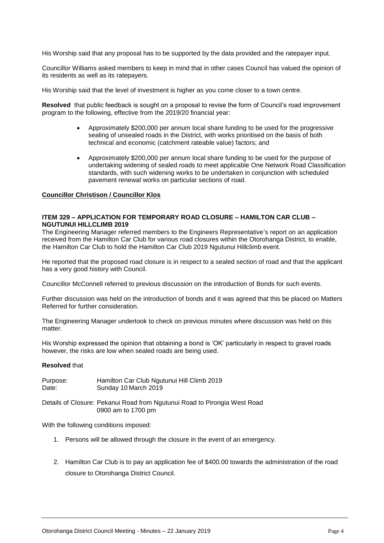His Worship said that any proposal has to be supported by the data provided and the ratepayer input.

Councillor Williams asked members to keep in mind that in other cases Council has valued the opinion of its residents as well as its ratepayers.

His Worship said that the level of investment is higher as you come closer to a town centre.

**Resolved** that public feedback is sought on a proposal to revise the form of Council's road improvement program to the following, effective from the 2019/20 financial year:

- Approximately \$200,000 per annum local share funding to be used for the progressive sealing of unsealed roads in the District, with works prioritised on the basis of both technical and economic (catchment rateable value) factors; and
- Approximately \$200,000 per annum local share funding to be used for the purpose of undertaking widening of sealed roads to meet applicable One Network Road Classification standards, with such widening works to be undertaken in conjunction with scheduled pavement renewal works on particular sections of road.

#### **Councillor Christison / Councillor Klos**

#### **ITEM 329 – APPLICATION FOR TEMPORARY ROAD CLOSURE – HAMILTON CAR CLUB – NGUTUNUI HILLCLIMB 2019**

The Engineering Manager referred members to the Engineers Representative's report on an application received from the Hamilton Car Club for various road closures within the Otorohanga District, to enable, the Hamilton Car Club to hold the Hamilton Car Club 2019 Ngutunui Hillclimb event.

He reported that the proposed road closure is in respect to a sealed section of road and that the applicant has a very good history with Council.

Councillor McConnell referred to previous discussion on the introduction of Bonds for such events.

Further discussion was held on the introduction of bonds and it was agreed that this be placed on Matters Referred for further consideration.

The Engineering Manager undertook to check on previous minutes where discussion was held on this matter.

His Worship expressed the opinion that obtaining a bond is 'OK' particularly in respect to gravel roads however, the risks are low when sealed roads are being used.

#### **Resolved** that

| Purpose: | Hamilton Car Club Ngutunui Hill Climb 2019 |
|----------|--------------------------------------------|
| Date:    | Sunday 10 March 2019                       |

Details of Closure: Pekanui Road from Ngutunui Road to Pirongia West Road 0900 am to 1700 pm

With the following conditions imposed:

- 1. Persons will be allowed through the closure in the event of an emergency.
- 2. Hamilton Car Club is to pay an application fee of \$400.00 towards the administration of the road closure to Otorohanga District Council.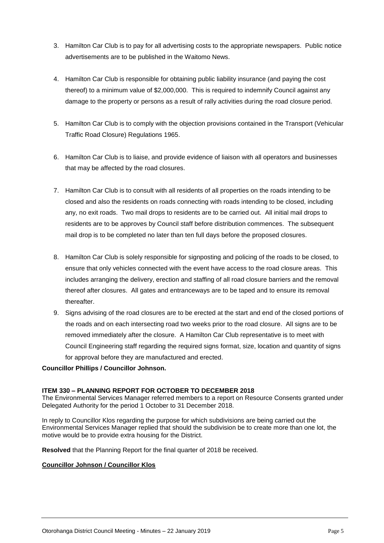- 3. Hamilton Car Club is to pay for all advertising costs to the appropriate newspapers. Public notice advertisements are to be published in the Waitomo News.
- 4. Hamilton Car Club is responsible for obtaining public liability insurance (and paying the cost thereof) to a minimum value of \$2,000,000. This is required to indemnify Council against any damage to the property or persons as a result of rally activities during the road closure period.
- 5. Hamilton Car Club is to comply with the objection provisions contained in the Transport (Vehicular Traffic Road Closure) Regulations 1965.
- 6. Hamilton Car Club is to liaise, and provide evidence of liaison with all operators and businesses that may be affected by the road closures.
- 7. Hamilton Car Club is to consult with all residents of all properties on the roads intending to be closed and also the residents on roads connecting with roads intending to be closed, including any, no exit roads. Two mail drops to residents are to be carried out. All initial mail drops to residents are to be approves by Council staff before distribution commences. The subsequent mail drop is to be completed no later than ten full days before the proposed closures.
- 8. Hamilton Car Club is solely responsible for signposting and policing of the roads to be closed, to ensure that only vehicles connected with the event have access to the road closure areas. This includes arranging the delivery, erection and staffing of all road closure barriers and the removal thereof after closures. All gates and entranceways are to be taped and to ensure its removal thereafter.
- 9. Signs advising of the road closures are to be erected at the start and end of the closed portions of the roads and on each intersecting road two weeks prior to the road closure. All signs are to be removed immediately after the closure. A Hamilton Car Club representative is to meet with Council Engineering staff regarding the required signs format, size, location and quantity of signs for approval before they are manufactured and erected.

#### **Councillor Phillips / Councillor Johnson.**

#### **ITEM 330 – PLANNING REPORT FOR OCTOBER TO DECEMBER 2018**

The Environmental Services Manager referred members to a report on Resource Consents granted under Delegated Authority for the period 1 October to 31 December 2018.

In reply to Councillor Klos regarding the purpose for which subdivisions are being carried out the Environmental Services Manager replied that should the subdivision be to create more than one lot, the motive would be to provide extra housing for the District.

**Resolved** that the Planning Report for the final quarter of 2018 be received.

#### **Councillor Johnson / Councillor Klos**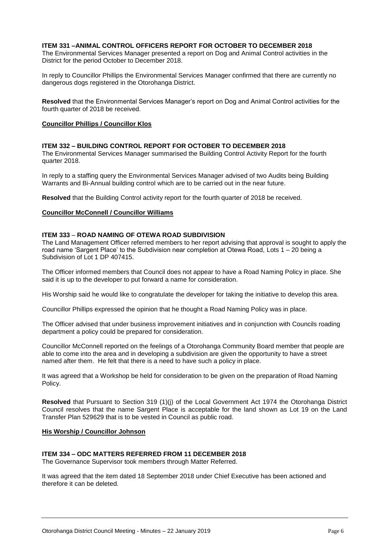#### **ITEM 331 –ANIMAL CONTROL OFFICERS REPORT FOR OCTOBER TO DECEMBER 2018**

The Environmental Services Manager presented a report on Dog and Animal Control activities in the District for the period October to December 2018.

In reply to Councillor Phillips the Environmental Services Manager confirmed that there are currently no dangerous dogs registered in the Otorohanga District.

**Resolved** that the Environmental Services Manager's report on Dog and Animal Control activities for the fourth quarter of 2018 be received.

#### **Councillor Phillips / Councillor Klos**

#### **ITEM 332 – BUILDING CONTROL REPORT FOR OCTOBER TO DECEMBER 2018**

The Environmental Services Manager summarised the Building Control Activity Report for the fourth quarter 2018.

In reply to a staffing query the Environmental Services Manager advised of two Audits being Building Warrants and Bi-Annual building control which are to be carried out in the near future.

**Resolved** that the Building Control activity report for the fourth quarter of 2018 be received.

#### **Councillor McConnell / Councillor Williams**

#### **ITEM 333** – **ROAD NAMING OF OTEWA ROAD SUBDIVISION**

The Land Management Officer referred members to her report advising that approval is sought to apply the road name 'Sargent Place' to the Subdivision near completion at Otewa Road, Lots 1 – 20 being a Subdivision of Lot 1 DP 407415.

The Officer informed members that Council does not appear to have a Road Naming Policy in place. She said it is up to the developer to put forward a name for consideration.

His Worship said he would like to congratulate the developer for taking the initiative to develop this area.

Councillor Phillips expressed the opinion that he thought a Road Naming Policy was in place.

The Officer advised that under business improvement initiatives and in conjunction with Councils roading department a policy could be prepared for consideration.

Councillor McConnell reported on the feelings of a Otorohanga Community Board member that people are able to come into the area and in developing a subdivision are given the opportunity to have a street named after them. He felt that there is a need to have such a policy in place.

It was agreed that a Workshop be held for consideration to be given on the preparation of Road Naming Policy.

**Resolved** that Pursuant to Section 319 (1)(j) of the Local Government Act 1974 the Otorohanga District Council resolves that the name Sargent Place is acceptable for the land shown as Lot 19 on the Land Transfer Plan 529629 that is to be vested in Council as public road.

#### **His Worship / Councillor Johnson**

#### **ITEM 334 – ODC MATTERS REFERRED FROM 11 DECEMBER 2018**

The Governance Supervisor took members through Matter Referred.

It was agreed that the item dated 18 September 2018 under Chief Executive has been actioned and therefore it can be deleted.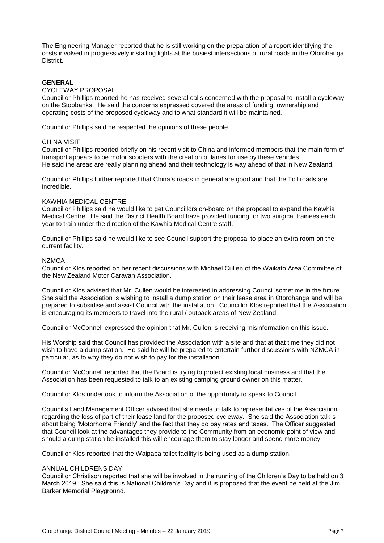The Engineering Manager reported that he is still working on the preparation of a report identifying the costs involved in progressively installing lights at the busiest intersections of rural roads in the Otorohanga **District.** 

#### **GENERAL**

#### CYCLEWAY PROPOSAL

Councillor Phillips reported he has received several calls concerned with the proposal to install a cycleway on the Stopbanks. He said the concerns expressed covered the areas of funding, ownership and operating costs of the proposed cycleway and to what standard it will be maintained.

Councillor Phillips said he respected the opinions of these people.

#### CHINA VISIT

Councillor Phillips reported briefly on his recent visit to China and informed members that the main form of transport appears to be motor scooters with the creation of lanes for use by these vehicles. He said the areas are really planning ahead and their technology is way ahead of that in New Zealand.

Councillor Phillips further reported that China's roads in general are good and that the Toll roads are incredible.

#### KAWHIA MEDICAL CENTRE

Councillor Phillips said he would like to get Councillors on-board on the proposal to expand the Kawhia Medical Centre. He said the District Health Board have provided funding for two surgical trainees each year to train under the direction of the Kawhia Medical Centre staff.

Councillor Phillips said he would like to see Council support the proposal to place an extra room on the current facility.

#### NZMCA

Councillor Klos reported on her recent discussions with Michael Cullen of the Waikato Area Committee of the New Zealand Motor Caravan Association.

Councillor Klos advised that Mr. Cullen would be interested in addressing Council sometime in the future. She said the Association is wishing to install a dump station on their lease area in Otorohanga and will be prepared to subsidise and assist Council with the installation. Councillor Klos reported that the Association is encouraging its members to travel into the rural / outback areas of New Zealand.

Councillor McConnell expressed the opinion that Mr. Cullen is receiving misinformation on this issue.

His Worship said that Council has provided the Association with a site and that at that time they did not wish to have a dump station. He said he will be prepared to entertain further discussions with NZMCA in particular, as to why they do not wish to pay for the installation.

Councillor McConnell reported that the Board is trying to protect existing local business and that the Association has been requested to talk to an existing camping ground owner on this matter.

Councillor Klos undertook to inform the Association of the opportunity to speak to Council.

Council's Land Management Officer advised that she needs to talk to representatives of the Association regarding the loss of part of their lease land for the proposed cycleway. She said the Association talk s about being 'Motorhome Friendly' and the fact that they do pay rates and taxes. The Officer suggested that Council look at the advantages they provide to the Community from an economic point of view and should a dump station be installed this will encourage them to stay longer and spend more money.

Councillor Klos reported that the Waipapa toilet facility is being used as a dump station.

#### ANNUAL CHILDRENS DAY

Councillor Christison reported that she will be involved in the running of the Children's Day to be held on 3 March 2019. She said this is National Children's Day and it is proposed that the event be held at the Jim Barker Memorial Playground.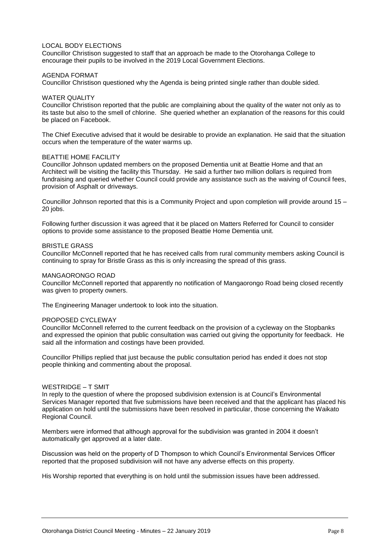#### LOCAL BODY ELECTIONS

Councillor Christison suggested to staff that an approach be made to the Otorohanga College to encourage their pupils to be involved in the 2019 Local Government Elections.

#### AGENDA FORMAT

Councillor Christison questioned why the Agenda is being printed single rather than double sided.

#### WATER QUALITY

Councillor Christison reported that the public are complaining about the quality of the water not only as to its taste but also to the smell of chlorine. She queried whether an explanation of the reasons for this could be placed on Facebook.

The Chief Executive advised that it would be desirable to provide an explanation. He said that the situation occurs when the temperature of the water warms up.

#### BEATTIE HOME FACILITY

Councillor Johnson updated members on the proposed Dementia unit at Beattie Home and that an Architect will be visiting the facility this Thursday. He said a further two million dollars is required from fundraising and queried whether Council could provide any assistance such as the waiving of Council fees, provision of Asphalt or driveways.

Councillor Johnson reported that this is a Community Project and upon completion will provide around 15 – 20 jobs.

Following further discussion it was agreed that it be placed on Matters Referred for Council to consider options to provide some assistance to the proposed Beattie Home Dementia unit.

#### BRISTLE GRASS

Councillor McConnell reported that he has received calls from rural community members asking Council is continuing to spray for Bristle Grass as this is only increasing the spread of this grass.

#### [MANGAORONGO](https://www.google.com/search?rlz=1C1GCEU_en-gbNZ832NZ832&q=MANGAORONGO&spell=1&sa=X&ved=0ahUKEwjp4PKxh6HgAhWCzLwKHfMDDAQQkeECCCsoAA) ROAD

Councillor McConnell reported that apparently no notification of Mangaorongo Road being closed recently was given to property owners.

The Engineering Manager undertook to look into the situation.

#### PROPOSED CYCLEWAY

Councillor McConnell referred to the current feedback on the provision of a cycleway on the Stopbanks and expressed the opinion that public consultation was carried out giving the opportunity for feedback. He said all the information and costings have been provided.

Councillor Phillips replied that just because the public consultation period has ended it does not stop people thinking and commenting about the proposal.

#### WESTRIDGE – T SMIT

In reply to the question of where the proposed subdivision extension is at Council's Environmental Services Manager reported that five submissions have been received and that the applicant has placed his application on hold until the submissions have been resolved in particular, those concerning the Waikato Regional Council.

Members were informed that although approval for the subdivision was granted in 2004 it doesn't automatically get approved at a later date.

Discussion was held on the property of D Thompson to which Council's Environmental Services Officer reported that the proposed subdivision will not have any adverse effects on this property.

His Worship reported that everything is on hold until the submission issues have been addressed.